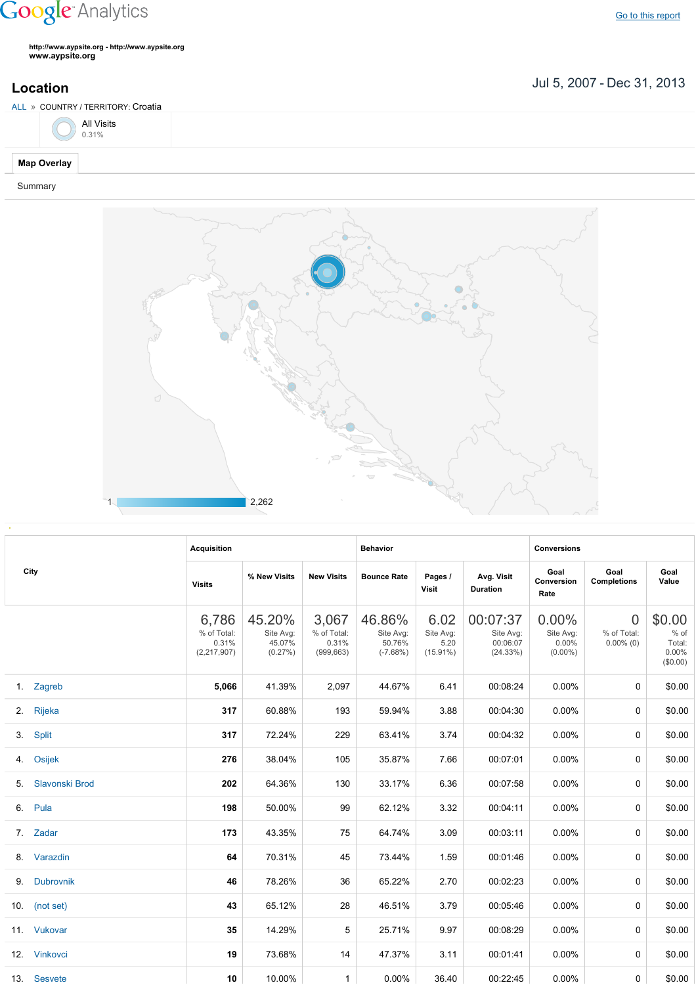## **Google** Analytics

Go to this [report](https://www.google.com/analytics/web/?utm_source=pdfReportLink#report/visitors-geo/a2184169w3912412p4016214/%3F_u.date00%3D20070705%26_u.date01%3D20131231%26geo-table.plotKeys%3D%5B%5D%26geo-table.rowStart%3D0%26geo-table.rowCount%3D1000%26_r.drilldown%3Danalytics.country%3AHR%26geo-segmentExplorer.segmentId%3Danalytics.city/)

**http://www.aypsite.org http://www.aypsite.org www.aypsite.org**

**Location** Jul 5, 2007 - Dec 31, 2013

| ALL » COUNTRY / TERRITORY: Croatia |  |  |
|------------------------------------|--|--|
| All Visits<br>0.31%                |  |  |
| <b>Map Overlay</b>                 |  |  |

Summary



| City |                | <b>Acquisition</b>                           |                                          |                                             | <b>Behavior</b>                             |                                          |                                               | <b>Conversions</b>                              |                                               |                                                 |
|------|----------------|----------------------------------------------|------------------------------------------|---------------------------------------------|---------------------------------------------|------------------------------------------|-----------------------------------------------|-------------------------------------------------|-----------------------------------------------|-------------------------------------------------|
|      |                | <b>Visits</b>                                | % New Visits                             | <b>New Visits</b>                           | <b>Bounce Rate</b>                          | Pages /<br>Visit                         | Avg. Visit<br><b>Duration</b>                 | Goal<br>Conversion<br>Rate                      | Goal<br><b>Completions</b>                    | Goal<br>Value                                   |
|      |                | 6,786<br>% of Total:<br>0.31%<br>(2,217,907) | 45.20%<br>Site Avg:<br>45.07%<br>(0.27%) | 3,067<br>% of Total:<br>0.31%<br>(999, 663) | 46.86%<br>Site Avg:<br>50.76%<br>$(-7.68%)$ | 6.02<br>Site Avg:<br>5.20<br>$(15.91\%)$ | 00:07:37<br>Site Avg:<br>00:06:07<br>(24.33%) | $0.00\%$<br>Site Avg:<br>$0.00\%$<br>$(0.00\%)$ | $\overline{0}$<br>% of Total:<br>$0.00\%$ (0) | \$0.00<br>$%$ of<br>Total:<br>0.00%<br>(\$0.00) |
|      | 1. Zagreb      | 5,066                                        | 41.39%                                   | 2,097                                       | 44.67%                                      | 6.41                                     | 00:08:24                                      | 0.00%                                           | $\Omega$                                      | \$0.00                                          |
|      | 2. Rijeka      | 317                                          | 60.88%                                   | 193                                         | 59.94%                                      | 3.88                                     | 00:04:30                                      | $0.00\%$                                        | $\Omega$                                      | \$0.00                                          |
|      | 3. Split       | 317                                          | 72.24%                                   | 229                                         | 63.41%                                      | 3.74                                     | 00:04:32                                      | 0.00%                                           | $\Omega$                                      | \$0.00                                          |
|      | 4. Osijek      | 276                                          | 38.04%                                   | 105                                         | 35.87%                                      | 7.66                                     | 00:07:01                                      | $0.00\%$                                        | 0                                             | \$0.00                                          |
| 5.   | Slavonski Brod | 202                                          | 64.36%                                   | 130                                         | 33.17%                                      | 6.36                                     | 00:07:58                                      | $0.00\%$                                        | 0                                             | \$0.00                                          |
|      | 6. Pula        | 198                                          | 50.00%                                   | 99                                          | 62.12%                                      | 3.32                                     | 00:04:11                                      | $0.00\%$                                        | 0                                             | \$0.00                                          |
|      | 7. Zadar       | 173                                          | 43.35%                                   | 75                                          | 64.74%                                      | 3.09                                     | 00:03:11                                      | $0.00\%$                                        | $\Omega$                                      | \$0.00                                          |
|      | 8. Varazdin    | 64                                           | 70.31%                                   | 45                                          | 73.44%                                      | 1.59                                     | 00:01:46                                      | $0.00\%$                                        | 0                                             | \$0.00                                          |
| 9.   | Dubrovnik      | 46                                           | 78.26%                                   | 36                                          | 65.22%                                      | 2.70                                     | 00:02:23                                      | $0.00\%$                                        | $\Omega$                                      | \$0.00                                          |
|      | 10. (not set)  | 43                                           | 65.12%                                   | 28                                          | 46.51%                                      | 3.79                                     | 00:05:46                                      | $0.00\%$                                        | $\Omega$                                      | \$0.00                                          |
|      | 11. Vukovar    | 35                                           | 14.29%                                   | 5                                           | 25.71%                                      | 9.97                                     | 00:08:29                                      | $0.00\%$                                        | $\Omega$                                      | \$0.00                                          |
|      | 12. Vinkovci   | 19                                           | 73.68%                                   | 14                                          | 47.37%                                      | 3.11                                     | 00:01:41                                      | $0.00\%$                                        | $\Omega$                                      | \$0.00                                          |
|      | 13. Sesvete    | 10                                           | 10.00%                                   | $\mathbf{1}$                                | 0.00%                                       | 36.40                                    | 00:22:45                                      | $0.00\%$                                        | 0                                             | \$0.00                                          |